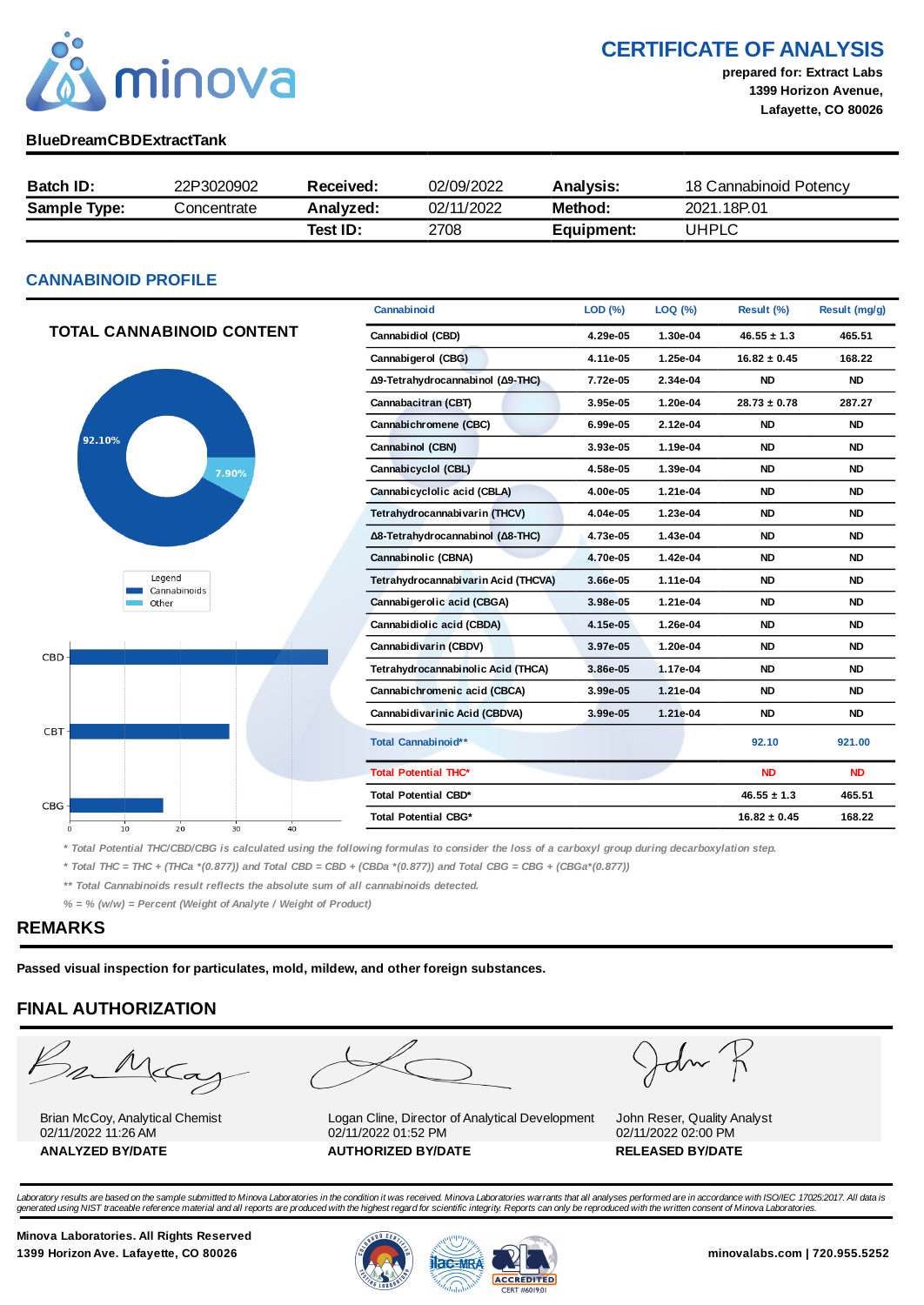

CERTIFICATE OF ANALYSIS

prepared for: Extract Labs 1399 Horizon Avenue, Lafayette, CO 80026

### BlueDreamCBDExtractTank

| <b>Batch ID:</b>    | 22P3020902  | Received: | 02/09/2022 | <b>Analysis:</b> | 18 Cannabinoid Potency |
|---------------------|-------------|-----------|------------|------------------|------------------------|
| <b>Sample Type:</b> | Concentrate | Analyzed: | 02/11/2022 | Method:          | 2021.18P.01            |
|                     |             | Test ID:  | 2708       | Equipment:       | UHPLC                  |

### CANNABINOID PROFILE

|                                  | Cannabinoid                         | LOD (%)  | LOQ (%)  | Result (%)       | Result (mg/g) |
|----------------------------------|-------------------------------------|----------|----------|------------------|---------------|
| TOTAL CANNABINOID CONTENT        | Cannabidiol (CBD)                   | 4.29e-05 | 1.30e-04 | $46.55 \pm 1.3$  | 465.51        |
|                                  | Cannabigerol (CBG)                  | 4.11e-05 | 1.25e-04 | $16.82 \pm 0.45$ | 168.22        |
|                                  | Δ9-Tetrahydrocannabinol (Δ9-THC)    | 7.72e-05 | 2.34e-04 | <b>ND</b>        | <b>ND</b>     |
|                                  | Cannabacitran (CBT)                 | 3.95e-05 | 1.20e-04 | $28.73 \pm 0.78$ | 287.27        |
|                                  | Cannabichromene (CBC)               | 6.99e-05 | 2.12e-04 | <b>ND</b>        | <b>ND</b>     |
| 92.10%                           | Cannabinol (CBN)                    | 3.93e-05 | 1.19e-04 | <b>ND</b>        | <b>ND</b>     |
| 7.90%                            | Cannabicyclol (CBL)                 | 4.58e-05 | 1.39e-04 | <b>ND</b>        | <b>ND</b>     |
|                                  | Cannabicyclolic acid (CBLA)         | 4.00e-05 | 1.21e-04 | <b>ND</b>        | <b>ND</b>     |
|                                  | Tetrahydrocannabivarin (THCV)       | 4.04e-05 | 1.23e-04 | <b>ND</b>        | <b>ND</b>     |
|                                  | Δ8-Tetrahydrocannabinol (Δ8-THC)    | 4.73e-05 | 1.43e-04 | <b>ND</b>        | <b>ND</b>     |
|                                  | Cannabinolic (CBNA)                 | 4.70e-05 | 1.42e-04 | <b>ND</b>        | <b>ND</b>     |
| Legend<br>Cannabinoids           | Tetrahydrocannabivarin Acid (THCVA) | 3.66e-05 | 1.11e-04 | <b>ND</b>        | <b>ND</b>     |
| Other                            | Cannabigerolic acid (CBGA)          | 3.98e-05 | 1.21e-04 | <b>ND</b>        | <b>ND</b>     |
|                                  | Cannabidiolic acid (CBDA)           | 4.15e-05 | 1.26e-04 | <b>ND</b>        | <b>ND</b>     |
| $CBD -$                          | Cannabidivarin (CBDV)               | 3.97e-05 | 1.20e-04 | <b>ND</b>        | <b>ND</b>     |
|                                  | Tetrahydrocannabinolic Acid (THCA)  | 3.86e-05 | 1.17e-04 | <b>ND</b>        | <b>ND</b>     |
|                                  | Cannabichromenic acid (CBCA)        | 3.99e-05 | 1.21e-04 | <b>ND</b>        | <b>ND</b>     |
|                                  | Cannabidivarinic Acid (CBDVA)       | 3.99e-05 | 1.21e-04 | <b>ND</b>        | <b>ND</b>     |
| CBT-                             | Total Cannabinoid**                 |          |          | 92.10            | 921.00        |
|                                  | <b>Total Potential THC*</b>         |          |          | <b>ND</b>        | <b>ND</b>     |
| CBG-                             | Total Potential CBD*                |          |          | $46.55 \pm 1.3$  | 465.51        |
| 10<br>20<br>30<br>40<br>$\Omega$ | <b>Total Potential CBG*</b>         |          |          | $16.82 \pm 0.45$ | 168.22        |
|                                  |                                     |          |          |                  |               |

\* Total Potential THC/CBD/CBG is calculated using the following formulas to consider the loss of a carboxyl group during decarboxylation step.

\* Total THC = THC + (THCa \*(0.877)) and Total CBD = CBD + (CBDa \*(0.877)) and Total CBG = CBG + (CBGa\*(0.877))

\*\* Total Cannabinoids result reflects the absolute sum of all cannabinoids detected.

 $% =$  % (w/w) = Percent (Weight of Analyte / Weight of Product)

### REMARKS

Passed visual inspection for particulates, mold, mildew, and other foreign substances.

## FINAL AUTHORIZATION

mMcCa

Brian McCoy, Analytical Chemist 02/11/2022 11:26 AM



Logan Cline, Director of Analytical Development 02/11/2022 01:52 PM ANALYZED BY/DATE AUTHORIZED BY/DATE AUTHORIZED BY/DATE

John

John Reser, Quality Analyst 02/11/2022 02:00 PM

Laboratory results are based on the sample submitted to Minova Laboratories in the condition it was received. Minova Laboratories warrants that all analyses performed are in accordance with ISO/IEC 17025:2017. All data is<br>

Minova Laboratories. All Rights Reserved

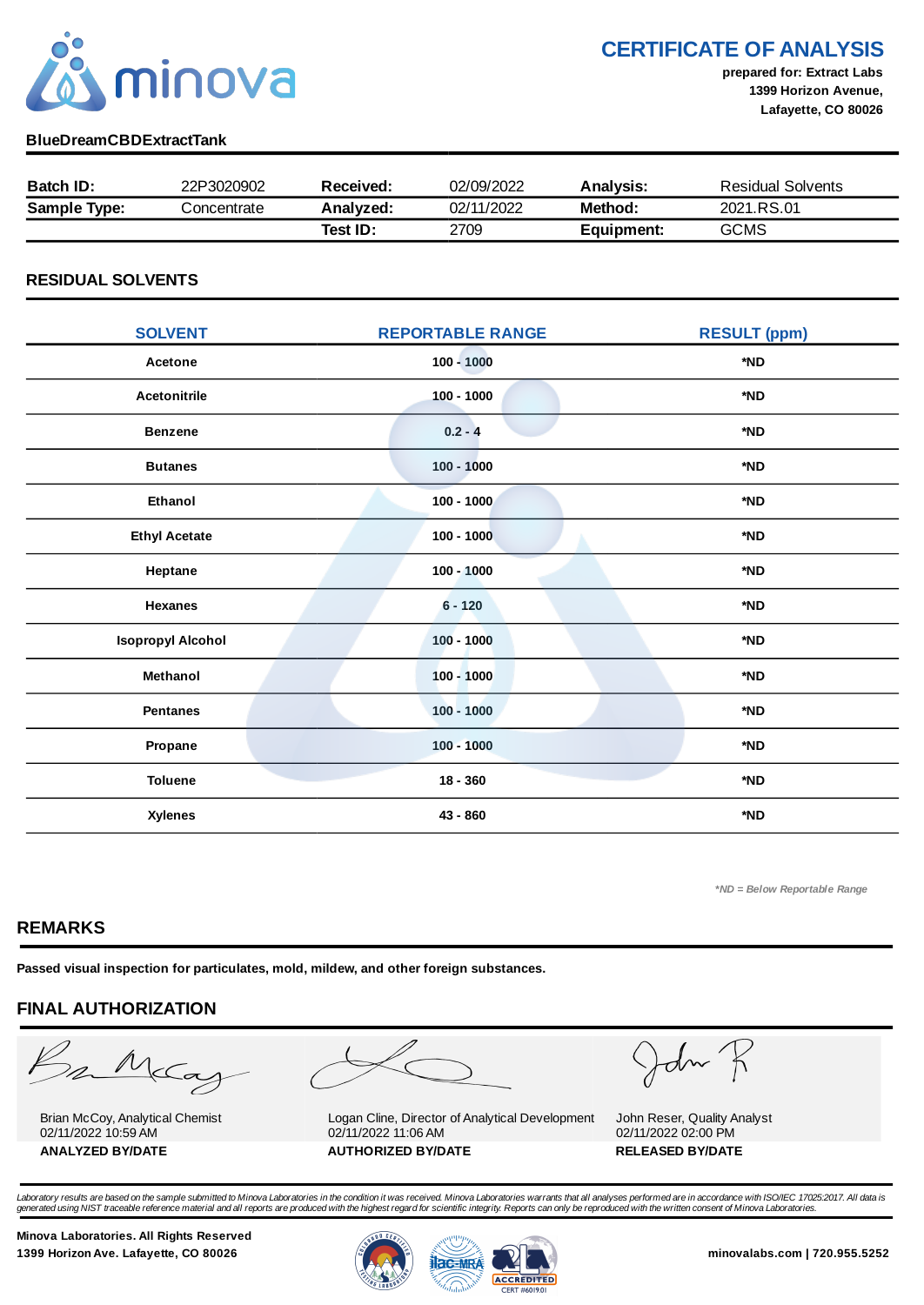

CERTIFICATE OF ANALYSIS

prepared for: Extract Labs 1399 Horizon Avenue, Lafayette, CO 80026

### BlueDreamCBDExtractTank

| <b>Batch ID:</b>    | 22P3020902  | Received: | 02/09/2022 | <b>Analysis:</b> | <b>Residual Solvents</b> |
|---------------------|-------------|-----------|------------|------------------|--------------------------|
| <b>Sample Type:</b> | Concentrate | Analyzed: | 02/11/2022 | Method:          | 2021.RS.01               |
|                     |             | Test ID:  | 2709       | Equipment:       | <b>GCMS</b>              |

### RESIDUAL SOLVENTS

| <b>SOLVENT</b>           | <b>REPORTABLE RANGE</b> | <b>RESULT (ppm)</b> |
|--------------------------|-------------------------|---------------------|
| Acetone                  | $100 - 1000$            | *ND                 |
| <b>Acetonitrile</b>      | $100 - 1000$            | *ND                 |
| <b>Benzene</b>           | $0.2 - 4$               | *ND                 |
| <b>Butanes</b>           | $100 - 1000$            | *ND                 |
| <b>Ethanol</b>           | $100 - 1000$            | *ND                 |
| <b>Ethyl Acetate</b>     | $100 - 1000$            | *ND                 |
| Heptane                  | $100 - 1000$            | *ND                 |
| <b>Hexanes</b>           | $6 - 120$               | *ND                 |
| <b>Isopropyl Alcohol</b> | $100 - 1000$            | *ND                 |
| Methanol                 | $100 - 1000$            | *ND                 |
| <b>Pentanes</b>          | $100 - 1000$            | *ND                 |
| Propane                  | $100 - 1000$            | *ND                 |
| <b>Toluene</b>           | $18 - 360$              | *ND                 |
| <b>Xylenes</b>           | 43 - 860                | *ND                 |

\*ND = Below Reportable Range

## REMARKS

Passed visual inspection for particulates, mold, mildew, and other foreign substances.

# FINAL AUTHORIZATION

mMcCa

Brian McCoy, Analytical Chemist 02/11/2022 10:59 AM



Logan Cline, Director of Analytical Development 02/11/2022 11:06 AM ANALYZED BY/DATE AUTHORIZED BY/DATE AUTHORIZED BY/DATE

John

John Reser, Quality Analyst 02/11/2022 02:00 PM

Laboratory results are based on the sample submitted to Minova Laboratories in the condition it was received. Minova Laboratories warrants that all analyses performed are in accordance with ISO/IEC 17025:2017. All data is<br>

Minova Laboratories. All Rights Reserved